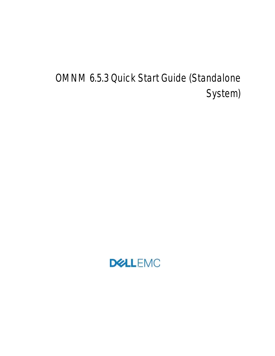# OMNM 6.5.3 Quick Start Guide (Standalone System)

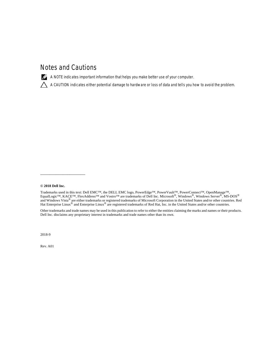### **Notes and Cautions**

 $\mathbb Z$  A NOTE indicates important information that helps you make better use of your computer.

 **A CAUTION indicates either potential damage to hardware or loss of data and tells you how to avoid the problem.**

#### **© 2018 Dell Inc.**

\_\_\_\_\_\_\_\_\_\_\_\_\_\_\_\_\_\_\_\_

Trademarks used in this text: Dell EMC™, the DELL EMC logo, PowerEdge™, PowerVault™, PowerConnect™, OpenManage™,<br>EqualLogic™, KACE™, FlexAddress™ and Vostro™ are trademarks of Dell Inc. Microsoft®, Windows®, Windows Serve and Windows Vista® are either trademarks or registered trademarks of Microsoft Corporation in the United States and/or other countries. Red Hat Enterprise Linux<sup>®</sup> and Enterprise Linux<sup>®</sup> are registered trademarks of Red Hat, Inc. in the United States and/or other countries.

Other trademarks and trade names may be used in this publication to refer to either the entities claiming the marks and names or their products. Dell Inc. disclaims any proprietary interest in trademarks and trade names other than its own.

2018-9

Rev. A01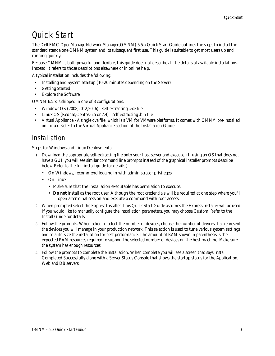# **Quick Start**

The Dell EMC OpenManage Network Manager(OMNM) 6.5.*x* Quick Start Guide outlines the steps to install the standard standalone OMNM system and its subsequent first use. This guide is suitable to get most users up and running quickly.

Because OMNM is both powerful and flexible, this guide does not describe all the details of available installations. Instead, it refers to those descriptions elsewhere or in online help.

A typical installation includes the following:

- Installing and System Startup (10-20 minutes depending on the Server)
- Getting Started
- Explore the Software

OMNM 6.5.*x* is shipped in one of 3 configurations:

- Windows OS (2008,2012,2016) self-extracting .exe file
- Linux OS (Redhat/Centos 6.5 or 7.4) self-extracting .bin file
- Virtual Appliance A single ova file, which is a VM for VMware platforms. It comes with OMNM pre-installed on Linux. Refer to the Virtual Appliance section of the Installation Guide.

## **Installation**

Steps for Windows and Linux Deployments:

- 1 Download the appropriate self-extracting file onto your host server and execute. (If using an OS that does not have a GUI, you will see similar command line prompts instead of the graphical installer prompts describe below. Refer to the full install guide for details.)
	- On Windows, recommend logging in with administrator privileges
	- On Linux:
		- Make sure that the installation executable has permission to execute.
		- **Do not** install as the root user. Although the root credentials will be required at one step where you'll open a terminal session and execute a command with root access.
- 2 When prompted select the Express Installer. This Quick Start Guide assumes the Express Installer will be used. If you would like to manually configure the installation parameters, you may choose Custom. Refer to the Install Guide for details.
- 3 Follow the prompts. When asked to select the number of devices, choose the number of devices that represent the devices you will manage in your production network. This selection is used to tune various system settings and to auto-size the installation for best performance. The amount of RAM shown in parenthesis is the expected RAM resources required to support the selected number of devices on the host machine. Make sure the system has enough resources.
- 4 Follow the prompts to complete the installation. When complete you will see a screen that says Install Completed Successfully along with a Server Status Console that shows the startup status for the Application, Web and DB servers.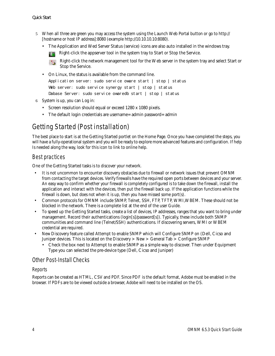- 5 When all three are green you may access the system using the Launch Web Portal button or go to http:// [hostname or host IP address]:8080 (example http://10.10.10.10:8080).
	- The Application and Wed Server Status (service) icons are also auto installed in the windows tray.

Right-click the appserver tool in the system tray to Start or Stop the Service.

Right-click the network management tool for the Web server in the system tray and select Start or  $\mathbf{a}$ Stop the Service.

• On Linux, the status is available from the command line.

```
Application server: sudo service oware start | stop | status 
Web server: sudo service synergy start | stop | status
Dabase Server: sudo service owaredb start | stop | status
```
- 6 System is up, you can Log in:
	- Screen resolution should equal or exceed 1280 x 1080 pixels.
	- The default login credentials are username=admin password=admin

# **Getting Started (Post installation)**

The best place to start is at the Getting Started portlet on the Home Page. Once you have completed the steps, you will have a fully-operational system and you will be ready to explore more advanced features and configuration. If help Is needed along the way, look for this icon to link to online help.

#### Best practices

One of the Getting Started tasks is to discover your network.

- It is not uncommon to encounter discovery obstacles due to firewall or network issues that prevent OMNM from contacting the target devices. Verify firewalls have the required open ports between devices and your server. An easy way to confirm whether your firewall is completely configured is to take down the firewall, install the application and interact with the devices, then put the firewall back up. If the application functions while the firewall is down, but does not when it is up, then you have missed some port(s).
- Common protocols for OMNM include SNMP, Telnet, SSH, FTP, TFTP, WMI,WBEM. These should not be blocked in the network. There is a complete list at the end of the user Guide.
- To speed up the Getting Started tasks, create a list of devices, IP addresses, ranges that you want to bring under management. Record their authentications (login[s]/password[s]). Typically, these include both SNMP communities and command line (Telnet/SSH) authentications. If discovering servers, WMI or WBEM credential are required.
- New Discovery feature called Attempt to enable SNMP which will Configure SNMP on (Dell, Cicso and Juniper devices. This is located on the Discovery > New > General Tab > Configure SNMP
	- Check the box next to Attempt to enable SNMP as a simple way to discover. Then under Equipment Type you can selected the pre-device type (Dell, Cicso and Juniper)

#### Other Post-Install Checks

#### *Reports*

Reports can be created as HTML, CSV and PDF. Since PDF is the default format, Adobe must be enabled in the browser. If PDFs are to be viewed outside a browser, Adobe will need to be installed on the OS.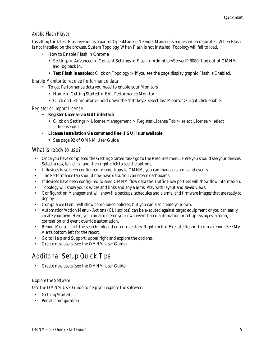#### *Adobe Flash Player*

Installing the latest Flash version is a part of OpenManage Network Managerís requested prerequisites. When Flash is not installed on the browser, System Topology. When Flash is not installed, Topology will fail to load.

- How to Enable Flash in Chrome
	- Settings > Advanced > Content Settings > Flash > Add http://ServerIP:8080. Log out of OMNM and log back in.
	- **Test Flash is enabled:** Click on Topology > if you see the page display graphic Flash is Enabled.

*Enable Monitor to receive Performance data*

- To get Performance data you need to enable your Monitors
	- Home > Getting Started > Edit Performance Monitor
	- Click on first monitor > hold down the shift key> select last Monitor > right click enable.

#### *Register or Import License*

- **Register License via GUI interface**
	- Click on Settings > License Management > Register License Tab > select License > select license.xml
- **License Installation via command line if GUI is unavailable**
	- See page 92 of OMNM User Guide

#### What is ready to use?

- Once you have completed the Getting Started tasks go to the Resource menu. Here you should see your devices. Select a row, left click, and then right click to see the options.
- If devices have been configured to send traps to OMNM, you can manage alarms and events.
- The Performance tab should now have data. You can create dashboards.
- If devices have been configured to send OMNM flow data the Traffic Flow portlets will show flow information.
- Topology will show your devices and links and any alarms. Play with layout and saved views.
- Configuration Management will show file backups, schedules and alarms, and firmware images that are ready to deploy.
- Compliance Menu will show compliance policies, but you can also create your own.
- Automation/Action Menu Actions (CLI scripts) can be executed against target equipment or you can easily create your own. Here, you can also create your own event-based automation or set up syslog escalation, correlation and event override automation.
- Report Menu click the search link and enter Inventory. Right click > Execute Report to run a report. See My Alerts bottom left for the report.
- Go to Help and Support, upper right and explore the options.
- Create new users (see the OMNM User Guide)

# **Additonal Setup Quick Tips**

• Create new users (see the OMNM User Guide)

#### Explore the Software

Use the OMNM User Guide to help you explore the software:

- Getting Started
- Portal Configuration